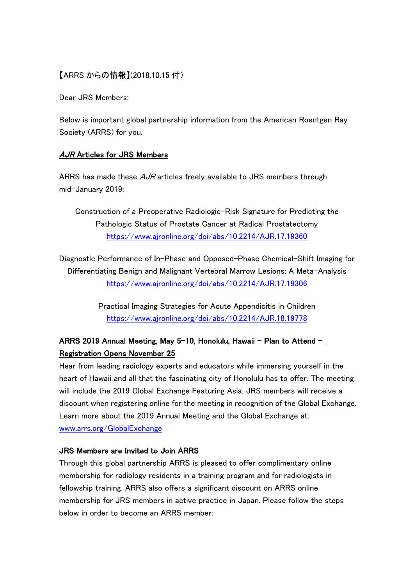## 【ARRS からの情報】(2018.10.15 付)

Dear JRS Members:

Below is important global partnership information from the American Roentgen Ray Society (ARRS) for you.

## AJR Articles for JRS Members

ARRS has made these  $A$ *JR* articles freely available to JRS members through mid-January 2019:

Construction of a Preoperative Radiologic-Risk Signature for Predicting the Pathologic Status of Prostate Cancer at Radical Prostatectomy <https://www.ajronline.org/doi/abs/10.2214/AJR.17.19360>

Diagnostic Performance of In-Phase and Opposed-Phase Chemical-Shift Imaging for Differentiating Benign and Malignant Vertebral Marrow Lesions: A Meta-Analysis <https://www.ajronline.org/doi/abs/10.2214/AJR.17.19306>

> Practical Imaging Strategies for Acute Appendicitis in Children <https://www.ajronline.org/doi/abs/10.2214/AJR.18.19778>

## ARRS 2019 Annual Meeting, May 5-10, Honolulu, Hawaii – Plan to Attend – Registration Opens November 25

Hear from leading radiology experts and educators while immersing yourself in the heart of Hawaii and all that the fascinating city of Honolulu has to offer. The meeting will include the 2019 Global Exchange Featuring Asia. JRS members will receive a discount when registering online for the meeting in recognition of the Global Exchange. Learn more about the 2019 Annual Meeting and the Global Exchange at: [www.arrs.org/GlobalExchange](http://www.radiology.jp/www.arrs.org/GlobalExchange)

## JRS Members are Invited to Join ARRS

Through this global partnership ARRS is pleased to offer complimentary online membership for radiology residents in a training program and for radiologists in fellowship training. ARRS also offers a significant discount on ARRS online membership for JRS members in active practice in Japan. Please follow the steps below in order to become an ARRS member: